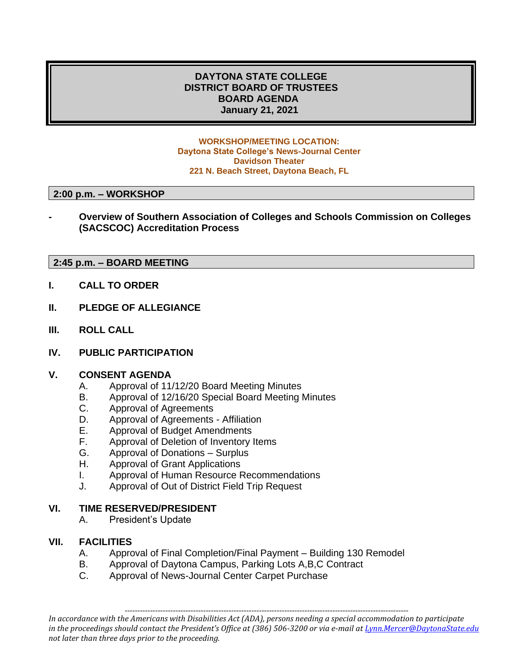# **DAYTONA STATE COLLEGE DISTRICT BOARD OF TRUSTEES BOARD AGENDA January 21, 2021**

#### **WORKSHOP/MEETING LOCATION: Daytona State College's News-Journal Center Davidson Theater 221 N. Beach Street, Daytona Beach, FL**

#### **2:00 p.m. – WORKSHOP**

**- Overview of Southern Association of Colleges and Schools Commission on Colleges (SACSCOC) Accreditation Process**

## **2:45 p.m. – BOARD MEETING**

- **I. CALL TO ORDER**
- **II. PLEDGE OF ALLEGIANCE**
- **III. ROLL CALL**
- **IV. PUBLIC PARTICIPATION**

## **V. CONSENT AGENDA**

- A. Approval of 11/12/20 Board Meeting Minutes
- B. Approval of 12/16/20 Special Board Meeting Minutes
- C. Approval of Agreements
- D. Approval of Agreements Affiliation
- E. Approval of Budget Amendments
- F. Approval of Deletion of Inventory Items
- G. Approval of Donations Surplus
- H. Approval of Grant Applications
- I. Approval of Human Resource Recommendations
- J. Approval of Out of District Field Trip Request

#### **VI. TIME RESERVED/PRESIDENT**

A. President's Update

## **VII. FACILITIES**

- A. Approval of Final Completion/Final Payment Building 130 Remodel
- B. Approval of Daytona Campus, Parking Lots A,B,C Contract
- C. Approval of News-Journal Center Carpet Purchase

*In accordance with the Americans with Disabilities Act (ADA), persons needing a special accommodation to participate in the proceedings should contact the President's Office at (386) 506-3200 or via e-mail a[t Lynn.Mercer@DaytonaState.edu](mailto:Lynn.Mercer@DaytonaState.edu) not later than three days prior to the proceeding.*